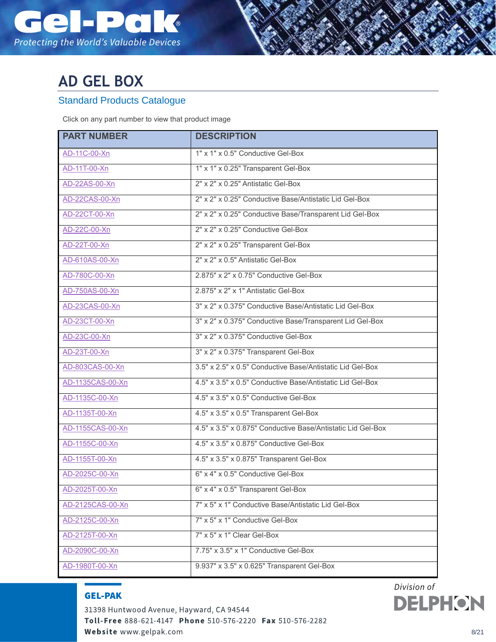

## **AD GEL BOX**

## Standard Products Catalogue

Click on any part number to view that product image

| <b>PART NUMBER</b> | <b>DESCRIPTION</b>                                          |
|--------------------|-------------------------------------------------------------|
| AD-11C-00-Xn       | 1" x 1" x 0.5" Conductive Gel-Box                           |
| AD-11T-00-Xn       | 1" x 1" x 0.25" Transparent Gel-Box                         |
| AD-22AS-00-Xn      | 2" x 2" x 0.25" Antistatic Gel-Box                          |
| AD-22CAS-00-Xn     | 2" x 2" x 0.25" Conductive Base/Antistatic Lid Gel-Box      |
| AD-22CT-00-Xn      | 2" x 2" x 0.25" Conductive Base/Transparent Lid Gel-Box     |
| AD-22C-00-Xn       | 2" x 2" x 0.25" Conductive Gel-Box                          |
| AD-22T-00-Xn       | 2" x 2" x 0.25" Transparent Gel-Box                         |
| AD-610AS-00-Xn     | 2" x 2" x 0.5" Antistatic Gel-Box                           |
| AD-780C-00-Xn      | 2.875" x 2" x 0.75" Conductive Gel-Box                      |
| AD-750AS-00-Xn     | 2.875" x 2" x 1" Antistatic Gel-Box                         |
| AD-23CAS-00-Xn     | 3" x 2" x 0.375" Conductive Base/Antistatic Lid Gel-Box     |
| AD-23CT-00-Xn      | 3" x 2" x 0.375" Conductive Base/Transparent Lid Gel-Box    |
| AD-23C-00-Xn       | 3" x 2" x 0.375" Conductive Gel-Box                         |
| AD-23T-00-Xn       | 3" x 2" x 0.375" Transparent Gel-Box                        |
| AD-803CAS-00-Xn    | 3.5" x 2.5" x 0.5" Conductive Base/Antistatic Lid Gel-Box   |
| AD-1135CAS-00-Xn   | 4.5" x 3.5" x 0.5" Conductive Base/Antistatic Lid Gel-Box   |
| AD-1135C-00-Xn     | 4.5" x 3.5" x 0.5" Conductive Gel-Box                       |
| AD-1135T-00-Xn     | 4.5" x 3.5" x 0.5" Transparent Gel-Box                      |
| AD-1155CAS-00-Xn   | 4.5" x 3.5" x 0.875" Conductive Base/Antistatic Lid Gel-Box |
| AD-1155C-00-Xn     | 4.5" x 3.5" x 0.875" Conductive Gel-Box                     |
| AD-1155T-00-Xn     | 4.5" x 3.5" x 0.875" Transparent Gel-Box                    |
| AD-2025C-00-Xn     | 6" x 4" x 0.5" Conductive Gel-Box                           |
| AD-2025T-00-Xn     | 6" x 4" x 0.5" Transparent Gel-Box                          |
| AD-2125CAS-00-Xn   | 7" x 5" x 1" Conductive Base/Antistatic Lid Gel-Box         |
| AD-2125C-00-Xn     | 7" x 5" x 1" Conductive Gel-Box                             |
| AD-2125T-00-Xn     | 7" x 5" x 1" Clear Gel-Box                                  |
| AD-2090C-00-Xn     | 7.75" x 3.5" x 1" Conductive Gel-Box                        |
| AD-1980T-00-Xn     | 9.937" x 3.5" x 0.625" Transparent Gel-Box                  |

## **Design Construction GEL-PAK**

31398 Huntwood Avenue, Hayward, CA 94544 Toll-Free 888-621-4147 Phone 510-576-2220 Fax 510-576-2282 Website www.gelpak.com